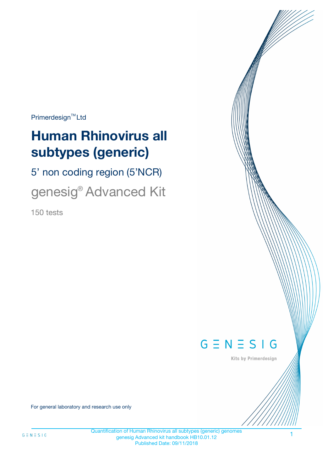$Primerdesign^{\text{TM}}Ltd$ 

# **Human Rhinovirus all subtypes (generic)**

5' non coding region (5'NCR)

genesig® Advanced Kit

150 tests



Kits by Primerdesign

For general laboratory and research use only

Quantification of Human Rhinovirus all subtypes (generic) genomes genesig Advanced kit handbook HB10.01.12 Published Date: 09/11/2018

1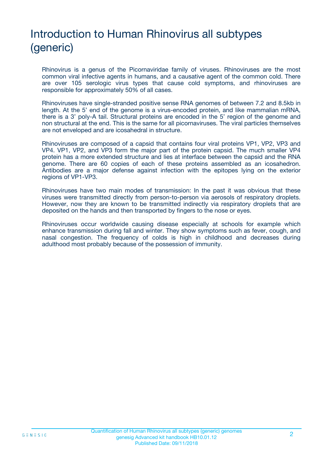# Introduction to Human Rhinovirus all subtypes (generic)

Rhinovirus is a genus of the Picornaviridae family of viruses. Rhinoviruses are the most common viral infective agents in humans, and a causative agent of the common cold. There are over 105 serologic virus types that cause cold symptoms, and rhinoviruses are responsible for approximately 50% of all cases.

Rhinoviruses have single-stranded positive sense RNA genomes of between 7.2 and 8.5kb in length. At the 5' end of the genome is a virus-encoded protein, and like mammalian mRNA, there is a 3' poly-A tail. Structural proteins are encoded in the 5' region of the genome and non structural at the end. This is the same for all picornaviruses. The viral particles themselves are not enveloped and are icosahedral in structure.

Rhinoviruses are composed of a capsid that contains four viral proteins VP1, VP2, VP3 and VP4. VP1, VP2, and VP3 form the major part of the protein capsid. The much smaller VP4 protein has a more extended structure and lies at interface between the capsid and the RNA genome. There are 60 copies of each of these proteins assembled as an icosahedron. Antibodies are a major defense against infection with the epitopes lying on the exterior regions of VP1-VP3.

Rhinoviruses have two main modes of transmission: In the past it was obvious that these viruses were transmitted directly from person-to-person via aerosols of respiratory droplets. However, now they are known to be transmitted indirectly via respiratory droplets that are deposited on the hands and then transported by fingers to the nose or eyes.

Rhinoviruses occur worldwide causing disease especially at schools for example which enhance transmission during fall and winter. They show symptoms such as fever, cough, and nasal congestion. The frequency of colds is high in childhood and decreases during adulthood most probably because of the possession of immunity.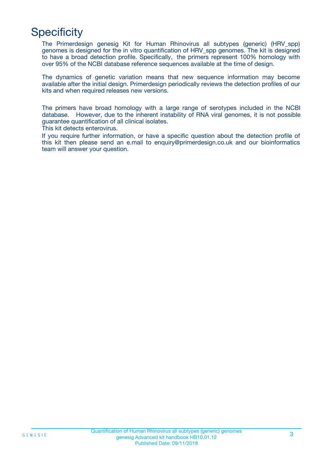## **Specificity**

The Primerdesign genesig Kit for Human Rhinovirus all subtypes (generic) (HRV\_spp) genomes is designed for the in vitro quantification of HRV\_spp genomes. The kit is designed to have a broad detection profile. Specifically, the primers represent 100% homology with over 95% of the NCBI database reference sequences available at the time of design.

The dynamics of genetic variation means that new sequence information may become available after the initial design. Primerdesign periodically reviews the detection profiles of our kits and when required releases new versions.

The primers have broad homology with a large range of serotypes included in the NCBI database. However, due to the inherent instability of RNA viral genomes, it is not possible guarantee quantification of all clinical isolates.

This kit detects enterovirus.

If you require further information, or have a specific question about the detection profile of this kit then please send an e.mail to enquiry@primerdesign.co.uk and our bioinformatics team will answer your question.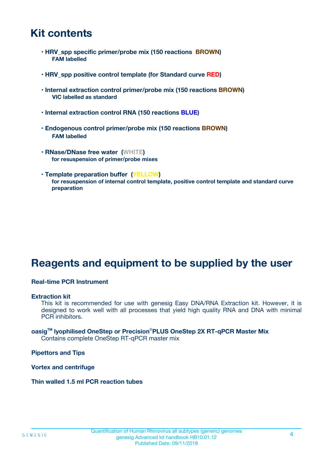### **Kit contents**

- **HRV\_spp specific primer/probe mix (150 reactions BROWN) FAM labelled**
- **HRV\_spp positive control template (for Standard curve RED)**
- **Internal extraction control primer/probe mix (150 reactions BROWN) VIC labelled as standard**
- **Internal extraction control RNA (150 reactions BLUE)**
- **Endogenous control primer/probe mix (150 reactions BROWN) FAM labelled**
- **RNase/DNase free water (WHITE) for resuspension of primer/probe mixes**
- **Template preparation buffer (YELLOW) for resuspension of internal control template, positive control template and standard curve preparation**

### **Reagents and equipment to be supplied by the user**

#### **Real-time PCR Instrument**

#### **Extraction kit**

This kit is recommended for use with genesig Easy DNA/RNA Extraction kit. However, it is designed to work well with all processes that yield high quality RNA and DNA with minimal PCR inhibitors.

#### **oasigTM lyophilised OneStep or Precision**®**PLUS OneStep 2X RT-qPCR Master Mix** Contains complete OneStep RT-qPCR master mix

**Pipettors and Tips**

**Vortex and centrifuge**

**Thin walled 1.5 ml PCR reaction tubes**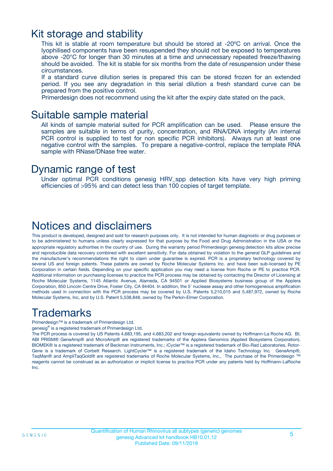### Kit storage and stability

This kit is stable at room temperature but should be stored at -20ºC on arrival. Once the lyophilised components have been resuspended they should not be exposed to temperatures above -20°C for longer than 30 minutes at a time and unnecessary repeated freeze/thawing should be avoided. The kit is stable for six months from the date of resuspension under these circumstances.

If a standard curve dilution series is prepared this can be stored frozen for an extended period. If you see any degradation in this serial dilution a fresh standard curve can be prepared from the positive control.

Primerdesign does not recommend using the kit after the expiry date stated on the pack.

### Suitable sample material

All kinds of sample material suited for PCR amplification can be used. Please ensure the samples are suitable in terms of purity, concentration, and RNA/DNA integrity (An internal PCR control is supplied to test for non specific PCR inhibitors). Always run at least one negative control with the samples. To prepare a negative-control, replace the template RNA sample with RNase/DNase free water.

### Dynamic range of test

Under optimal PCR conditions genesig HRV\_spp detection kits have very high priming efficiencies of >95% and can detect less than 100 copies of target template.

### Notices and disclaimers

This product is developed, designed and sold for research purposes only. It is not intended for human diagnostic or drug purposes or to be administered to humans unless clearly expressed for that purpose by the Food and Drug Administration in the USA or the appropriate regulatory authorities in the country of use. During the warranty period Primerdesign genesig detection kits allow precise and reproducible data recovery combined with excellent sensitivity. For data obtained by violation to the general GLP guidelines and the manufacturer's recommendations the right to claim under guarantee is expired. PCR is a proprietary technology covered by several US and foreign patents. These patents are owned by Roche Molecular Systems Inc. and have been sub-licensed by PE Corporation in certain fields. Depending on your specific application you may need a license from Roche or PE to practice PCR. Additional information on purchasing licenses to practice the PCR process may be obtained by contacting the Director of Licensing at Roche Molecular Systems, 1145 Atlantic Avenue, Alameda, CA 94501 or Applied Biosystems business group of the Applera Corporation, 850 Lincoln Centre Drive, Foster City, CA 94404. In addition, the 5' nuclease assay and other homogeneous amplification methods used in connection with the PCR process may be covered by U.S. Patents 5,210,015 and 5,487,972, owned by Roche Molecular Systems, Inc, and by U.S. Patent 5,538,848, owned by The Perkin-Elmer Corporation.

### Trademarks

Primerdesign™ is a trademark of Primerdesign Ltd.

genesig® is a registered trademark of Primerdesign Ltd.

The PCR process is covered by US Patents 4,683,195, and 4,683,202 and foreign equivalents owned by Hoffmann-La Roche AG. BI, ABI PRISM® GeneAmp® and MicroAmp® are registered trademarks of the Applera Genomics (Applied Biosystems Corporation). BIOMEK® is a registered trademark of Beckman Instruments, Inc.; iCycler™ is a registered trademark of Bio-Rad Laboratories, Rotor-Gene is a trademark of Corbett Research. LightCycler™ is a registered trademark of the Idaho Technology Inc. GeneAmp®, TaqMan® and AmpliTaqGold® are registered trademarks of Roche Molecular Systems, Inc., The purchase of the Primerdesign ™ reagents cannot be construed as an authorization or implicit license to practice PCR under any patents held by Hoffmann-LaRoche Inc.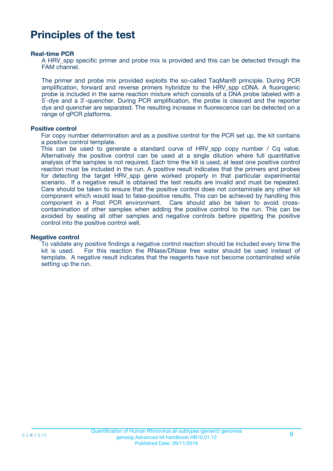### **Principles of the test**

#### **Real-time PCR**

A HRV spp specific primer and probe mix is provided and this can be detected through the FAM channel.

The primer and probe mix provided exploits the so-called TaqMan® principle. During PCR amplification, forward and reverse primers hybridize to the HRV\_spp cDNA. A fluorogenic probe is included in the same reaction mixture which consists of a DNA probe labeled with a 5`-dye and a 3`-quencher. During PCR amplification, the probe is cleaved and the reporter dye and quencher are separated. The resulting increase in fluorescence can be detected on a range of qPCR platforms.

#### **Positive control**

For copy number determination and as a positive control for the PCR set up, the kit contains a positive control template.

This can be used to generate a standard curve of HRV spp copy number / Cq value. Alternatively the positive control can be used at a single dilution where full quantitative analysis of the samples is not required. Each time the kit is used, at least one positive control reaction must be included in the run. A positive result indicates that the primers and probes for detecting the target HRV spp gene worked properly in that particular experimental scenario. If a negative result is obtained the test results are invalid and must be repeated. Care should be taken to ensure that the positive control does not contaminate any other kit component which would lead to false-positive results. This can be achieved by handling this component in a Post PCR environment. Care should also be taken to avoid crosscontamination of other samples when adding the positive control to the run. This can be avoided by sealing all other samples and negative controls before pipetting the positive control into the positive control well.

#### **Negative control**

To validate any positive findings a negative control reaction should be included every time the kit is used. For this reaction the RNase/DNase free water should be used instead of template. A negative result indicates that the reagents have not become contaminated while setting up the run.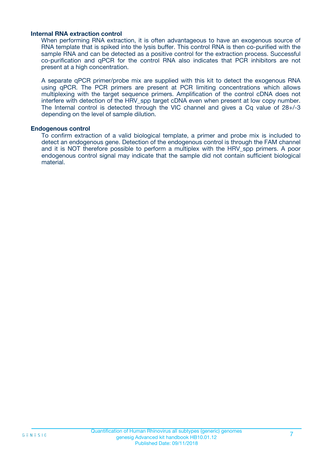#### **Internal RNA extraction control**

When performing RNA extraction, it is often advantageous to have an exogenous source of RNA template that is spiked into the lysis buffer. This control RNA is then co-purified with the sample RNA and can be detected as a positive control for the extraction process. Successful co-purification and qPCR for the control RNA also indicates that PCR inhibitors are not present at a high concentration.

A separate qPCR primer/probe mix are supplied with this kit to detect the exogenous RNA using qPCR. The PCR primers are present at PCR limiting concentrations which allows multiplexing with the target sequence primers. Amplification of the control cDNA does not interfere with detection of the HRV\_spp target cDNA even when present at low copy number. The Internal control is detected through the VIC channel and gives a Cq value of 28+/-3 depending on the level of sample dilution.

#### **Endogenous control**

To confirm extraction of a valid biological template, a primer and probe mix is included to detect an endogenous gene. Detection of the endogenous control is through the FAM channel and it is NOT therefore possible to perform a multiplex with the HRV\_spp primers. A poor endogenous control signal may indicate that the sample did not contain sufficient biological material.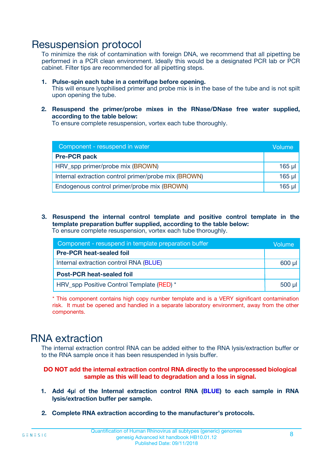### Resuspension protocol

To minimize the risk of contamination with foreign DNA, we recommend that all pipetting be performed in a PCR clean environment. Ideally this would be a designated PCR lab or PCR cabinet. Filter tips are recommended for all pipetting steps.

- **1. Pulse-spin each tube in a centrifuge before opening.** This will ensure lyophilised primer and probe mix is in the base of the tube and is not spilt upon opening the tube.
- **2. Resuspend the primer/probe mixes in the RNase/DNase free water supplied, according to the table below:**

To ensure complete resuspension, vortex each tube thoroughly.

| Component - resuspend in water                       |          |  |
|------------------------------------------------------|----------|--|
| <b>Pre-PCR pack</b>                                  |          |  |
| HRV_spp primer/probe mix (BROWN)                     | $165$ µl |  |
| Internal extraction control primer/probe mix (BROWN) | $165$ µl |  |
| Endogenous control primer/probe mix (BROWN)          | 165 µl   |  |

**3. Resuspend the internal control template and positive control template in the template preparation buffer supplied, according to the table below:** To ensure complete resuspension, vortex each tube thoroughly.

| Component - resuspend in template preparation buffer |  |  |  |
|------------------------------------------------------|--|--|--|
| <b>Pre-PCR heat-sealed foil</b>                      |  |  |  |
| Internal extraction control RNA (BLUE)               |  |  |  |
| <b>Post-PCR heat-sealed foil</b>                     |  |  |  |
| HRV_spp Positive Control Template (RED) *            |  |  |  |

\* This component contains high copy number template and is a VERY significant contamination risk. It must be opened and handled in a separate laboratory environment, away from the other components.

### RNA extraction

The internal extraction control RNA can be added either to the RNA lysis/extraction buffer or to the RNA sample once it has been resuspended in lysis buffer.

**DO NOT add the internal extraction control RNA directly to the unprocessed biological sample as this will lead to degradation and a loss in signal.**

- **1. Add 4µ**l **of the Internal extraction control RNA (BLUE) to each sample in RNA lysis/extraction buffer per sample.**
- **2. Complete RNA extraction according to the manufacturer's protocols.**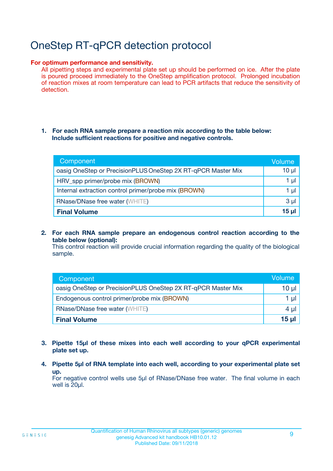# OneStep RT-qPCR detection protocol

#### **For optimum performance and sensitivity.**

All pipetting steps and experimental plate set up should be performed on ice. After the plate is poured proceed immediately to the OneStep amplification protocol. Prolonged incubation of reaction mixes at room temperature can lead to PCR artifacts that reduce the sensitivity of detection.

#### **1. For each RNA sample prepare a reaction mix according to the table below: Include sufficient reactions for positive and negative controls.**

| Component                                                    | <b>Volume</b> |
|--------------------------------------------------------------|---------------|
| oasig OneStep or PrecisionPLUS OneStep 2X RT-qPCR Master Mix | $10 \mu$      |
| HRV_spp primer/probe mix (BROWN)                             | 1 µl          |
| Internal extraction control primer/probe mix (BROWN)         | 1 µI          |
| <b>RNase/DNase free water (WHITE)</b>                        | $3 \mu$       |
| <b>Final Volume</b>                                          | 15 ul         |

**2. For each RNA sample prepare an endogenous control reaction according to the table below (optional):**

This control reaction will provide crucial information regarding the quality of the biological sample.

| Component                                                    | Volume          |
|--------------------------------------------------------------|-----------------|
| oasig OneStep or PrecisionPLUS OneStep 2X RT-qPCR Master Mix | 10 µl           |
| Endogenous control primer/probe mix (BROWN)                  | 1 µl            |
| <b>RNase/DNase free water (WHITE)</b>                        | $4 \mu$         |
| <b>Final Volume</b>                                          | $15$ µl $\vert$ |

- **3. Pipette 15µl of these mixes into each well according to your qPCR experimental plate set up.**
- **4. Pipette 5µl of RNA template into each well, according to your experimental plate set up.**

For negative control wells use 5µl of RNase/DNase free water. The final volume in each well is 20µl.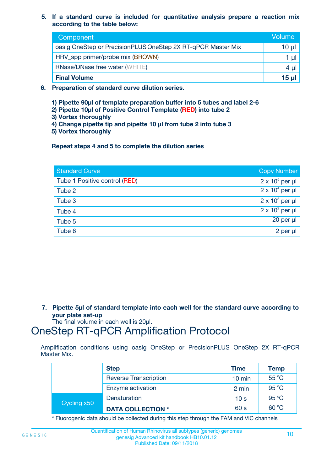**5. If a standard curve is included for quantitative analysis prepare a reaction mix according to the table below:**

| Component                                                    | Volume       |
|--------------------------------------------------------------|--------------|
| oasig OneStep or PrecisionPLUS OneStep 2X RT-qPCR Master Mix | 10 µl        |
| HRV_spp primer/probe mix (BROWN)                             |              |
| <b>RNase/DNase free water (WHITE)</b>                        | 4 U          |
| <b>Final Volume</b>                                          | <u>15 µl</u> |

- **6. Preparation of standard curve dilution series.**
	- **1) Pipette 90µl of template preparation buffer into 5 tubes and label 2-6**
	- **2) Pipette 10µl of Positive Control Template (RED) into tube 2**
	- **3) Vortex thoroughly**
	- **4) Change pipette tip and pipette 10 µl from tube 2 into tube 3**
	- **5) Vortex thoroughly**

**Repeat steps 4 and 5 to complete the dilution series**

| <b>Standard Curve</b>         | <b>Copy Number</b>     |
|-------------------------------|------------------------|
| Tube 1 Positive control (RED) | $2 \times 10^5$ per µl |
| Tube 2                        | $2 \times 10^4$ per µl |
| Tube 3                        | $2 \times 10^3$ per µl |
| Tube 4                        | $2 \times 10^2$ per µl |
| Tube 5                        | 20 per µl              |
| Tube 6                        | $2$ per $\mu$          |

**7. Pipette 5µl of standard template into each well for the standard curve according to your plate set-up**

The final volume in each well is 20µl.

### OneStep RT-qPCR Amplification Protocol

Amplification conditions using oasig OneStep or PrecisionPLUS OneStep 2X RT-qPCR Master Mix.

|             | <b>Step</b>                  | <b>Time</b>      | <b>Temp</b> |
|-------------|------------------------------|------------------|-------------|
|             | <b>Reverse Transcription</b> | $10 \text{ min}$ | 55 °C       |
|             | Enzyme activation            | 2 min            | 95 °C       |
| Cycling x50 | Denaturation                 | 10 <sub>s</sub>  | 95 °C       |
|             | <b>DATA COLLECTION *</b>     | 60 s             | 60 °C       |

\* Fluorogenic data should be collected during this step through the FAM and VIC channels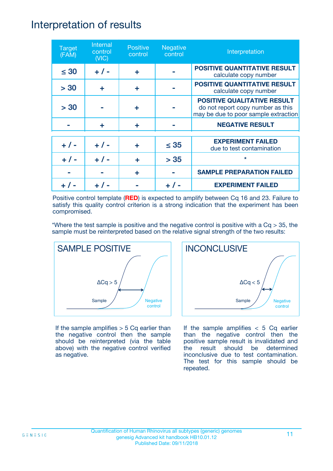### Interpretation of results

| <b>Target</b><br>(FAM) | Internal<br>control<br>(NIC) | <b>Positive</b><br>control | <b>Negative</b><br>control | Interpretation                                                                                                  |
|------------------------|------------------------------|----------------------------|----------------------------|-----------------------------------------------------------------------------------------------------------------|
| $\leq 30$              | $+ 1 -$                      | ÷                          |                            | <b>POSITIVE QUANTITATIVE RESULT</b><br>calculate copy number                                                    |
| > 30                   | ٠                            | ÷                          |                            | <b>POSITIVE QUANTITATIVE RESULT</b><br>calculate copy number                                                    |
| > 30                   |                              | ÷                          |                            | <b>POSITIVE QUALITATIVE RESULT</b><br>do not report copy number as this<br>may be due to poor sample extraction |
|                        | ÷                            | ÷                          |                            | <b>NEGATIVE RESULT</b>                                                                                          |
| $+ 1 -$                | $+ 1 -$                      | ÷                          | $\leq$ 35                  | <b>EXPERIMENT FAILED</b><br>due to test contamination                                                           |
| $+ 1 -$                | $+ 1 -$                      | ÷                          | > 35                       | $\star$                                                                                                         |
|                        |                              | ÷                          |                            | <b>SAMPLE PREPARATION FAILED</b>                                                                                |
|                        |                              |                            |                            | <b>EXPERIMENT FAILED</b>                                                                                        |

Positive control template (**RED**) is expected to amplify between Cq 16 and 23. Failure to satisfy this quality control criterion is a strong indication that the experiment has been compromised.

\*Where the test sample is positive and the negative control is positive with a  $Cq > 35$ , the sample must be reinterpreted based on the relative signal strength of the two results:



If the sample amplifies  $> 5$  Cq earlier than the negative control then the sample should be reinterpreted (via the table above) with the negative control verified as negative.



If the sample amplifies  $< 5$  Cq earlier than the negative control then the positive sample result is invalidated and the result should be determined inconclusive due to test contamination. The test for this sample should be repeated.